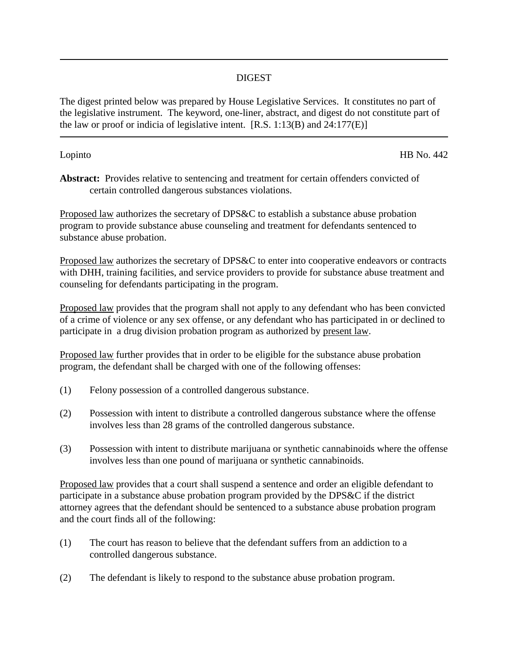## DIGEST

The digest printed below was prepared by House Legislative Services. It constitutes no part of the legislative instrument. The keyword, one-liner, abstract, and digest do not constitute part of the law or proof or indicia of legislative intent.  $[R.S. 1:13(B)$  and  $24:177(E)$ 

Lopinto HB No. 442

**Abstract:** Provides relative to sentencing and treatment for certain offenders convicted of certain controlled dangerous substances violations.

Proposed law authorizes the secretary of DPS&C to establish a substance abuse probation program to provide substance abuse counseling and treatment for defendants sentenced to substance abuse probation.

Proposed law authorizes the secretary of DPS&C to enter into cooperative endeavors or contracts with DHH, training facilities, and service providers to provide for substance abuse treatment and counseling for defendants participating in the program.

Proposed law provides that the program shall not apply to any defendant who has been convicted of a crime of violence or any sex offense, or any defendant who has participated in or declined to participate in a drug division probation program as authorized by present law.

Proposed law further provides that in order to be eligible for the substance abuse probation program, the defendant shall be charged with one of the following offenses:

- (1) Felony possession of a controlled dangerous substance.
- (2) Possession with intent to distribute a controlled dangerous substance where the offense involves less than 28 grams of the controlled dangerous substance.
- (3) Possession with intent to distribute marijuana or synthetic cannabinoids where the offense involves less than one pound of marijuana or synthetic cannabinoids.

Proposed law provides that a court shall suspend a sentence and order an eligible defendant to participate in a substance abuse probation program provided by the DPS&C if the district attorney agrees that the defendant should be sentenced to a substance abuse probation program and the court finds all of the following:

- (1) The court has reason to believe that the defendant suffers from an addiction to a controlled dangerous substance.
- (2) The defendant is likely to respond to the substance abuse probation program.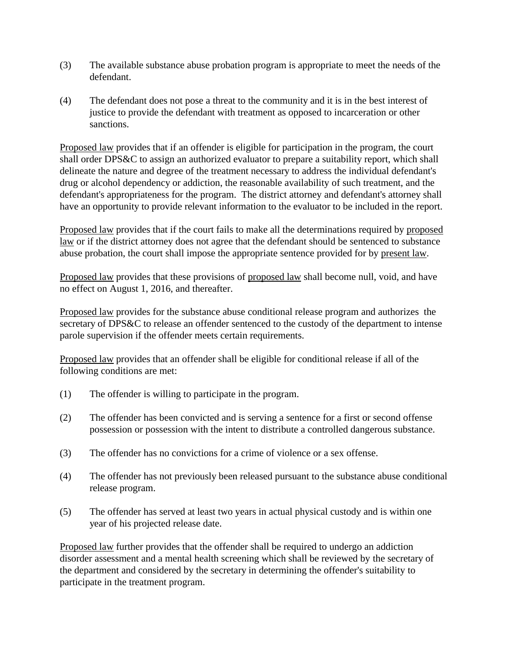- (3) The available substance abuse probation program is appropriate to meet the needs of the defendant.
- (4) The defendant does not pose a threat to the community and it is in the best interest of justice to provide the defendant with treatment as opposed to incarceration or other sanctions.

Proposed law provides that if an offender is eligible for participation in the program, the court shall order DPS&C to assign an authorized evaluator to prepare a suitability report, which shall delineate the nature and degree of the treatment necessary to address the individual defendant's drug or alcohol dependency or addiction, the reasonable availability of such treatment, and the defendant's appropriateness for the program. The district attorney and defendant's attorney shall have an opportunity to provide relevant information to the evaluator to be included in the report.

Proposed law provides that if the court fails to make all the determinations required by proposed law or if the district attorney does not agree that the defendant should be sentenced to substance abuse probation, the court shall impose the appropriate sentence provided for by present law.

Proposed law provides that these provisions of proposed law shall become null, void, and have no effect on August 1, 2016, and thereafter.

Proposed law provides for the substance abuse conditional release program and authorizes the secretary of DPS&C to release an offender sentenced to the custody of the department to intense parole supervision if the offender meets certain requirements.

Proposed law provides that an offender shall be eligible for conditional release if all of the following conditions are met:

- (1) The offender is willing to participate in the program.
- (2) The offender has been convicted and is serving a sentence for a first or second offense possession or possession with the intent to distribute a controlled dangerous substance.
- (3) The offender has no convictions for a crime of violence or a sex offense.
- (4) The offender has not previously been released pursuant to the substance abuse conditional release program.
- (5) The offender has served at least two years in actual physical custody and is within one year of his projected release date.

Proposed law further provides that the offender shall be required to undergo an addiction disorder assessment and a mental health screening which shall be reviewed by the secretary of the department and considered by the secretary in determining the offender's suitability to participate in the treatment program.